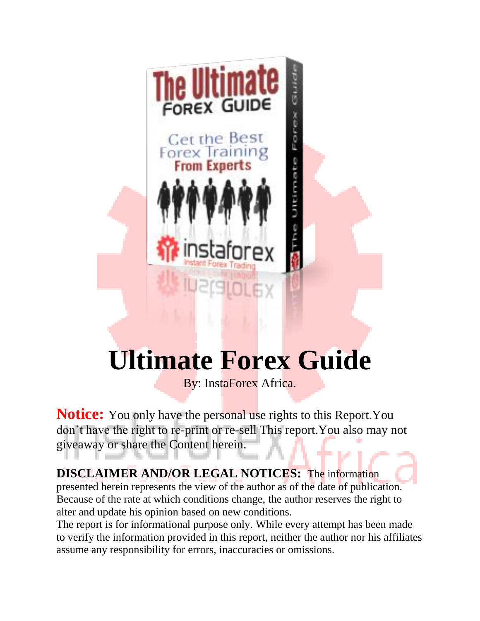

# **Ultimate Forex Guide**

By: InstaForex Africa.

**Notice:** You only have the personal use rights to this Report. You don't have the right to re-print or re-sell This report.You also may not giveaway or share the Content herein.

**DISCLAIMER AND/OR LEGAL NOTICES:** The information presented herein represents the view of the author as of the date of publication. Because of the rate at which conditions change, the author reserves the right to alter and update his opinion based on new conditions.

The report is for informational purpose only. While every attempt has been made to verify the information provided in this report, neither the author nor his affiliates assume any responsibility for errors, inaccuracies or omissions.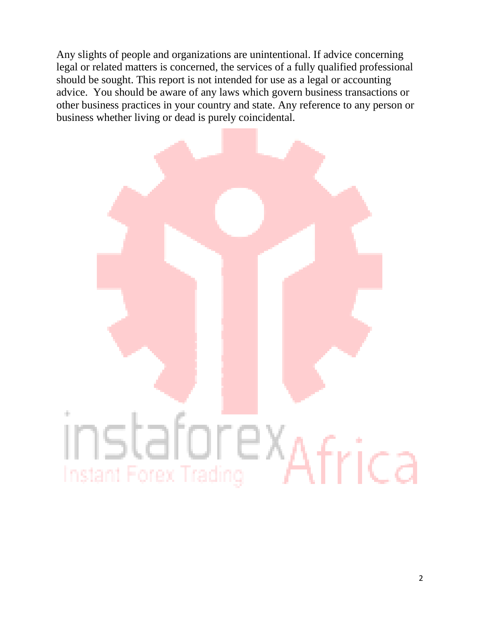Any slights of people and organizations are unintentional. If advice concerning legal or related matters is concerned, the services of a fully qualified professional should be sought. This report is not intended for use as a legal or accounting advice. You should be aware of any laws which govern business transactions or other business practices in your country and state. Any reference to any person or business whether living or dead is purely coincidental.

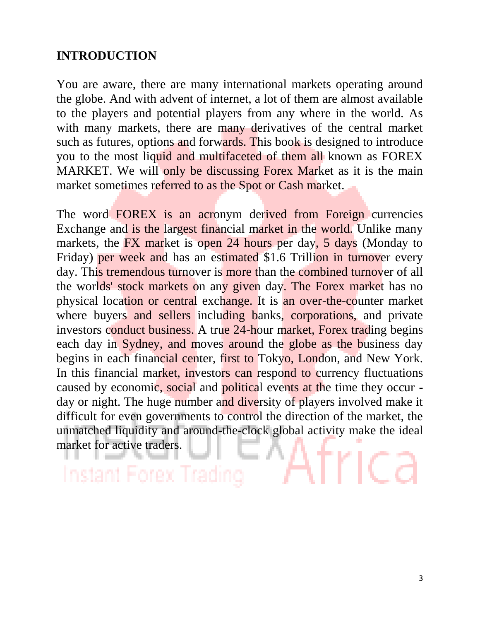### **INTRODUCTION**

You are aware, there are many international markets operating around the globe. And with advent of internet, a lot of them are almost available to the players and potential players from any where in the world. As with many markets, there are many derivatives of the central market such as futures, options and forwards. This book is designed to introduce you to the most liquid and multifaceted of them all known as FOREX MARKET. We will only be discussing Forex Market as it is the main market sometimes referred to as the Spot or Cash market.

The word FOREX is an acronym derived from Foreign currencies Exchange and is the largest financial market in the world. Unlike many markets, the FX market is open 24 hours per day, 5 days (Monday to Friday) per week and has an estimated \$1.6 Trillion in turnover every day. This tremendous turnover is more than the combined turnover of all the worlds' stock markets on any given day. The Forex market has no physical location or central exchange. It is an over-the-counter market where buyers and sellers including banks, corporations, and private investors conduct business. A true 24-hour market, Forex trading begins each day in Sydney, and moves around the globe as the business day begins in each financial center, first to Tokyo, London, and New York. In this financial market, investors can respond to currency fluctuations caused by economic, social and political events at the time they occur day or night. The huge number and diversity of players involved make it difficult for even governments to control the direction of the market, the unmatched liquidity and around-the-clock global activity make the ideal market for active traders.

Instant Forex Trad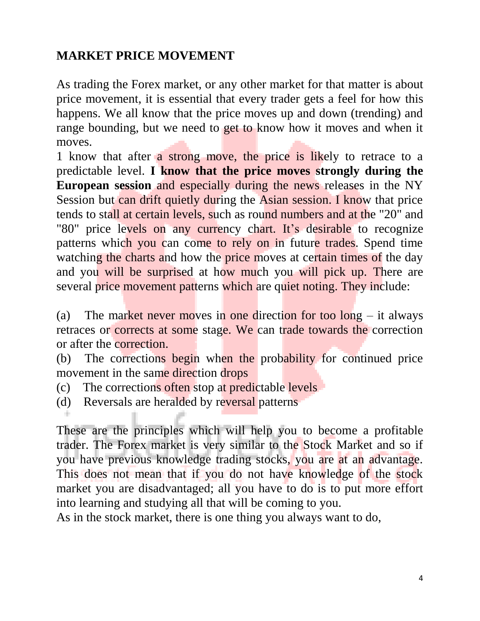### **MARKET PRICE MOVEMENT**

As trading the Forex market, or any other market for that matter is about price movement, it is essential that every trader gets a feel for how this happens. We all know that the price moves up and down (trending) and range bounding, but we need to get to know how it moves and when it moves.

1 know that after a strong move, the price is likely to retrace to a predictable level. **I know that the price moves strongly during the European session** and especially during the news releases in the NY Session but can drift quietly during the Asian session. I know that price tends to stall at certain levels, such as round numbers and at the "20" and "80" price levels on any currency chart. It's desirable to recognize patterns which you can come to rely on in future trades. Spend time watching the charts and how the price moves at certain times of the day and you will be surprised at how much you will pick up. There are several price movement patterns which are quiet noting. They include:

(a) The market never moves in one direction for too  $\log - i$  talways retraces or corrects at some stage. We can trade towards the correction or after the correction.

(b) The corrections begin when the probability for continued price movement in the same direction drops

- (c) The corrections often stop at predictable levels
- (d) Reversals are heralded by reversal patterns

These are the principles which will help you to become a profitable trader. The Forex market is very similar to the Stock Market and so if you have previous knowledge trading stocks, you are at an advantage. This does not mean that if you do not have knowledge of the stock market you are disadvantaged; all you have to do is to put more effort into learning and studying all that will be coming to you.

As in the stock market, there is one thing you always want to do,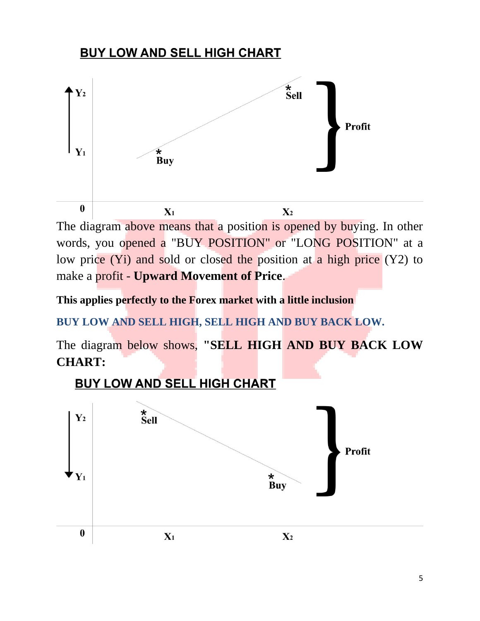### **BUY LOW AND SELL HIGH CHART**



The diagram above means that a position is opened by buying. In other words, you opened a "BUY POSITION" or "LONG POSITION" at a low price (Yi) and sold or closed the position at a high price (Y2) to make a profit - **Upward Movement of Price**.

**This applies perfectly to the Forex market with a little inclusion**

**BUY LOW AND SELL HIGH, SELL HIGH AND BUY BACK LOW.**

The diagram below shows, **"SELL HIGH AND BUY BACK LOW CHART:**

### **BUY LOW AND SELL HIGH CHART**

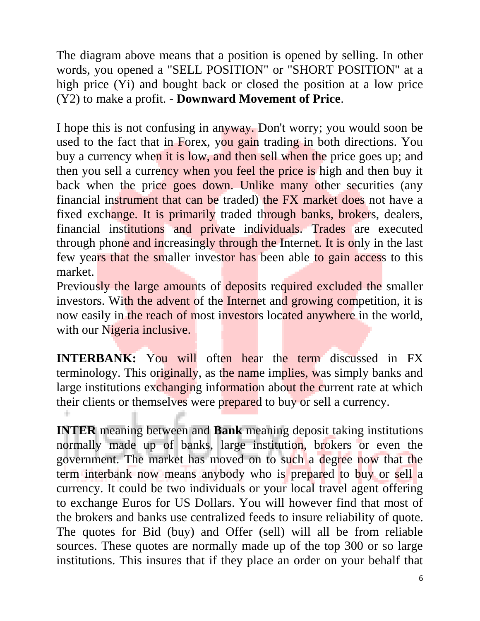The diagram above means that a position is opened by selling. In other words, you opened a "SELL POSITION" or "SHORT POSITION" at a high price (Yi) and bought back or closed the position at a low price (Y2) to make a profit. - **Downward Movement of Price**.

I hope this is not confusing in anyway. Don't worry; you would soon be used to the fact that in Forex, you gain trading in both directions. You buy a currency when it is low, and then sell when the price goes up; and then you sell a currency when you feel the price is high and then buy it back when the price goes down. Unlike many other securities (any financial instrument that can be traded) the FX market does not have a fixed exchange. It is primarily traded through banks, brokers, dealers, financial institutions and private individuals. Trades are executed through phone and increasingly through the Internet. It is only in the last few years that the smaller investor has been able to gain access to this market.

Previously the large amounts of deposits required excluded the smaller investors. With the advent of the Internet and growing competition, it is now easily in the reach of most investors located anywhere in the world, with our Nigeria inclusive.

**INTERBANK:** You will often hear the term discussed in FX terminology. This originally, as the name implies, was simply banks and large institutions exchanging information about the current rate at which their clients or themselves were prepared to buy or sell a currency.

**INTER** meaning between and **Bank** meaning deposit taking institutions normally made up of banks, large institution, brokers or even the government. The market has moved on to such a degree now that the term interbank now means anybody who is prepared to buy or sell a currency. It could be two individuals or your local travel agent offering to exchange Euros for US Dollars. You will however find that most of the brokers and banks use centralized feeds to insure reliability of quote. The quotes for Bid (buy) and Offer (sell) will all be from reliable sources. These quotes are normally made up of the top 300 or so large institutions. This insures that if they place an order on your behalf that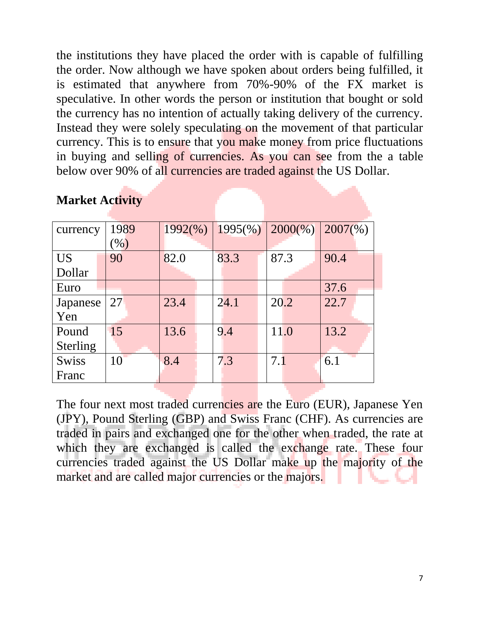the institutions they have placed the order with is capable of fulfilling the order. Now although we have spoken about orders being fulfilled, it is estimated that anywhere from 70%-90% of the FX market is speculative. In other words the person or institution that bought or sold the currency has no intention of actually taking delivery of the currency. Instead they were solely speculating on the movement of that particular currency. This is to ensure that you make money from price fluctuations in buying and selling of currencies. As you can see from the a table below over 90% of all currencies are traded against the US Dollar.

| currency        | 1989 | $1992\%$ | $1995(\%)$ | $2000\%)$ | $2007\frac{6}{6}$ |
|-----------------|------|----------|------------|-----------|-------------------|
|                 | (96) |          |            |           |                   |
| <b>US</b>       | 90   | 82.0     | 83.3       | 87.3      | 90.4              |
| Dollar          |      |          |            |           |                   |
| Euro            |      |          |            |           | 37.6              |
| Japanese        | 27   | 23.4     | 24.1       | 20.2      | 22.7              |
| Yen             |      |          |            |           |                   |
| Pound           | 15   | 13.6     | 9.4        | 11.0      | 13.2              |
| <b>Sterling</b> |      |          |            |           |                   |
| <b>Swiss</b>    | 10   | 8.4      | 7.3        | 7.1       | 6.1               |
| Franc           |      |          |            |           |                   |

### **Market Activity**

The four next most traded currencies are the Euro (EUR), Japanese Yen (JPY), Pound Sterling (GBP) and Swiss Franc (CHF). As currencies are traded in pairs and exchanged one for the other when traded, the rate at which they are exchanged is called the exchange rate. These four currencies traded against the US Dollar make up the majority of the market and are called major currencies or the majors.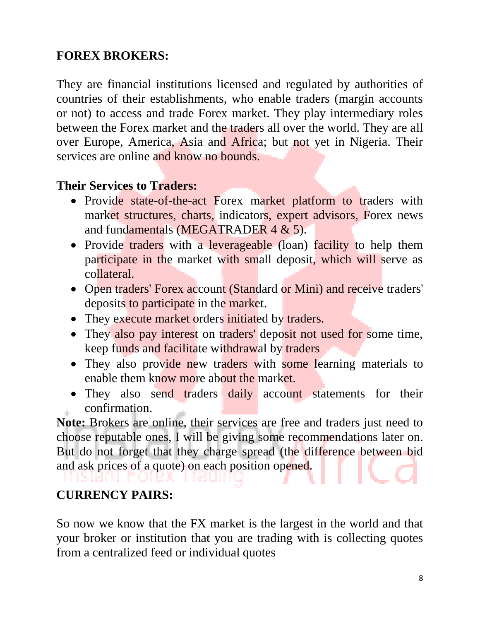### **FOREX BROKERS:**

They are financial institutions licensed and regulated by authorities of countries of their establishments, who enable traders (margin accounts or not) to access and trade Forex market. They play intermediary roles between the Forex market and the traders all over the world. They are all over Europe, America, Asia and Africa; but not yet in Nigeria. Their services are online and know no bounds.

### **Their Services to Traders:**

- Provide state-of-the-act Forex market platform to traders with market structures, charts, indicators, expert advisors, Forex news and fundamentals (MEGATRADER 4 & 5).
- Provide traders with a leverageable (loan) facility to help them participate in the market with small deposit, which will serve as collateral.
- Open traders' Forex account (Standard or Mini) and receive traders' deposits to participate in the market.
- They execute market orders initiated by traders.
- They also pay interest on traders' deposit not used for some time, keep funds and facilitate withdrawal by traders
- They also provide new traders with some learning materials to enable them know more about the market.
- They also send traders daily account statements for their confirmation.

**Note:** Brokers are online, their services are free and traders just need to choose reputable ones, I will be giving some recommendations later on. But do not forget that they charge spread (the difference between bid and ask prices of a quote) on each position opened.

### **CURRENCY PAIRS:**

So now we know that the FX market is the largest in the world and that your broker or institution that you are trading with is collecting quotes from a centralized feed or individual quotes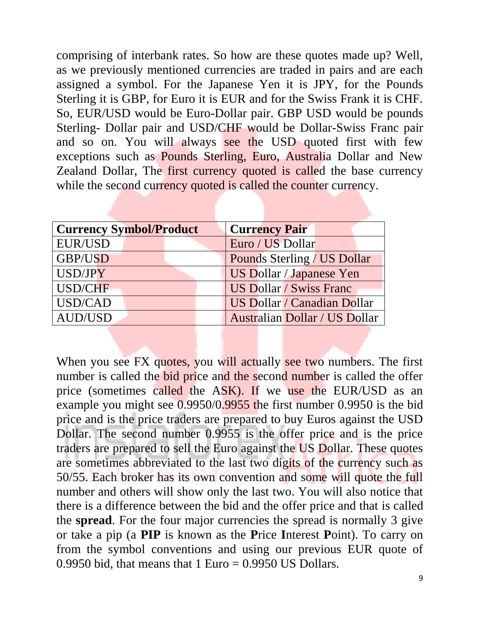comprising of interbank rates. So how are these quotes made up? Well, as we previously mentioned currencies are traded in pairs and are each assigned a symbol. For the Japanese Yen it is JPY, for the Pounds Sterling it is GBP, for Euro it is EUR and for the Swiss Frank it is CHF. So, EUR/USD would be Euro-Dollar pair. GBP USD would be pounds Sterling- Dollar pair and USD/CHF would be Dollar-Swiss Franc pair and so on. You will always see the USD quoted first with few exceptions such as Pounds Sterling, Euro, Australia Dollar and New Zealand Dollar, The first currency quoted is called the base currency while the second currency quoted is called the counter currency.

| <b>Currency Symbol/Product</b> | <b>Currency Pair</b>                 |
|--------------------------------|--------------------------------------|
| EUR/USD                        | Euro / US Dollar                     |
| GBP/USD                        | Pounds Sterling / US Dollar          |
| USD/JPY                        | <b>US Dollar / Japanese Yen</b>      |
| USD/CHF                        | <b>US Dollar / Swiss Franc</b>       |
| USD/CAD                        | US Dollar / Canadian Dollar          |
| AUD/USD                        | <b>Australian Dollar / US Dollar</b> |

When you see FX quotes, you will actually see two numbers. The first number is called the bid price and the second number is called the offer price (sometimes called the ASK). If we use the EUR/USD as an example you might see 0.9950/0.9955 the first number 0.9950 is the bid price and is the price traders are prepared to buy Euros against the USD Dollar. The second number 0.9955 is the offer price and is the price traders are prepared to sell the Euro against the US Dollar. These quotes are sometimes abbreviated to the last two digits of the currency such as 50/55. Each broker has its own convention and some will quote the full number and others will show only the last two. You will also notice that there is a difference between the bid and the offer price and that is called the **spread**. For the four major currencies the spread is normally 3 give or take a pip (a **PIP** is known as the **P**rice **I**nterest **P**oint). To carry on from the symbol conventions and using our previous EUR quote of 0.9950 bid, that means that  $1 \text{ Euro} = 0.9950 \text{ US Dollars}.$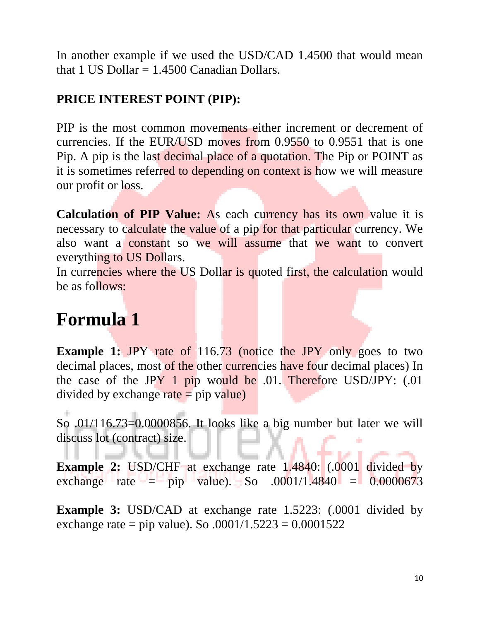In another example if we used the USD/CAD 1.4500 that would mean that 1 US Dollar  $= 1.4500$  Canadian Dollars.

### **PRICE INTEREST POINT (PIP):**

PIP is the most common movements either increment or decrement of currencies. If the EUR/USD moves from 0.9550 to 0.9551 that is one Pip. A pip is the last decimal place of a quotation. The Pip or POINT as it is sometimes referred to depending on context is how we will measure our profit or loss.

**Calculation of PIP Value:** As each currency has its own value it is necessary to calculate the value of a pip for that particular currency. We also want a constant so we will assume that we want to convert everything to US Dollars.

In currencies where the US Dollar is quoted first, the calculation would be as follows:

### **Formula 1**

**Example 1:** JPY rate of 116.73 (notice the JPY only goes to two decimal places, most of the other currencies have four decimal places) In the case of the JPY 1 pip would be .01. Therefore USD/JPY: (.01 divided by exchange  $\text{rate} = \text{pip value}$ )

So .01/116.73=0.0000856. It looks like a big number but later we will discuss lot (contract) size.

**Example 2:** USD/CHF at exchange rate 1.4840: (.0001 divided by exchange rate = pip value). So  $.0001/1.4840$  = 0.0000673

**Example 3:** USD/CAD at exchange rate 1.5223: (.0001 divided by exchange rate = pip value). So  $.0001/1.5223 = 0.0001522$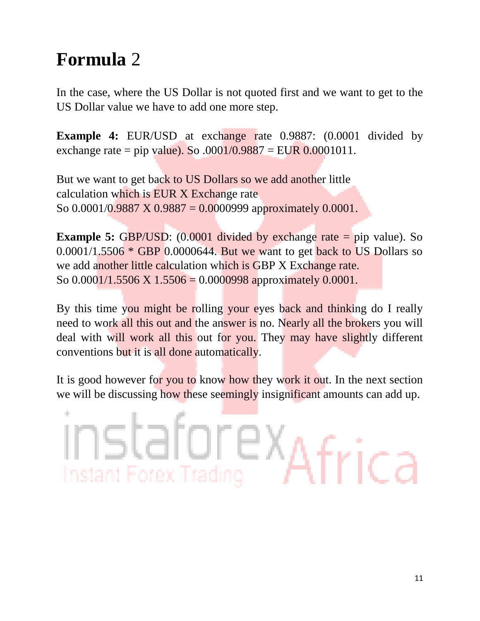### **Formula** 2

In the case, where the US Dollar is not quoted first and we want to get to the US Dollar value we have to add one more step.

**Example 4:** EUR/USD at exchange rate 0.9887:  $(0.0001$  divided by exchange rate = pip value). So  $.0001/0.9887 = EUR 0.0001011$ .

But we want to get back to US Dollars so we add another little calculation which is EUR X Exchange rate So  $0.0001/0.9887 \times 0.9887 = 0.0000999$  approximately  $0.0001$ .

**Example 5:** GBP/USD: (0.0001 divided by exchange rate = pip value). So  $0.0001/1.5506 * GBP$  0.0000644. But we want to get back to US Dollars so we add another little calculation which is GBP X Exchange rate. So  $0.0001/1.5506 \times 1.5506 = 0.0000998$  approximately  $0.0001$ .

By this time you might be rolling your eyes back and thinking do I really need to work all this out and the answer is no. Nearly all the brokers you will deal with will work all this out for you. They may have slightly different conventions but it is all done automatically.

It is good however for you to know how they work it out. In the next section we will be discussing how these seemingly insignificant amounts can add up.

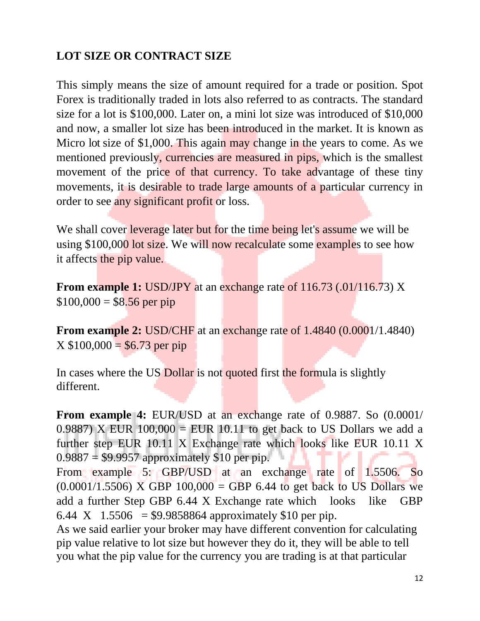### **LOT SIZE OR CONTRACT SIZE**

This simply means the size of amount required for a trade or position. Spot Forex is traditionally traded in lots also referred to as contracts. The standard size for a lot is \$100,000. Later on, a mini lot size was introduced of \$10,000 and now, a smaller lot size has been introduced in the market. It is known as Micro lot size of \$1,000. This again may change in the years to come. As we mentioned previously, currencies are measured in pips, which is the smallest movement of the price of that currency. To take advantage of these tiny movements, it is desirable to trade large amounts of a particular currency in order to see any significant profit or loss.

We shall cover leverage later but for the time being let's assume we will be using \$100,000 lot size. We will now recalculate some examples to see how it affects the pip value.

**From example 1:** USD/JPY at an exchange rate of 116.73 (.01/116.73) X  $$100,000 = $8.56$  per pip

**From example 2:** USD/CHF at an exchange rate of 1.4840 (0.0001/1.4840)  $X $100,000 = $6.73$  per pip

In cases where the US Dollar is not quoted first the formula is slightly different.

**From example 4:** EUR/USD at an exchange rate of 0.9887. So (0.0001/ 0.9887) X EUR  $100,000 = EUR$  10.11 to get back to US Dollars we add a further step EUR 10.11 X Exchange rate which looks like EUR 10.11 X  $0.9887 = $9.9957$  approximately \$10 per pip.

From example 5: GBP/USD at an exchange rate of 1.5506. So  $(0.0001/1.5506)$  X GBP  $100,000 =$  GBP 6.44 to get back to US Dollars we add a further Step GBP 6.44 X Exchange rate which looks like GBP 6.44 X 1.5506 = \$9.9858864 approximately \$10 per pip.

As we said earlier your broker may have different convention for calculating pip value relative to lot size but however they do it, they will be able to tell you what the pip value for the currency you are trading is at that particular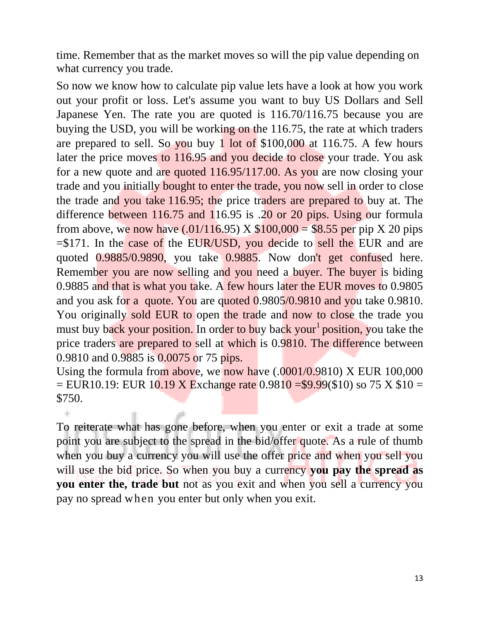time. Remember that as the market moves so will the pip value depending on what currency you trade.

So now we know how to calculate pip value lets have a look at how you work out your profit or loss. Let's assume you want to buy US Dollars and Sell Japanese Yen. The rate you are quoted is 116.70/116.75 because you are buying the USD, you will be working on the 116.75, the rate at which traders are prepared to sell. So you buy 1 lot of \$100,000 at 116.75. A few hours later the price moves to 116.95 and you decide to close your trade. You ask for a new quote and are quoted 116.95/117.00. As you are now closing your trade and you initially bought to enter the trade, you now sell in order to close the trade and you take 116.95; the price traders are prepared to buy at. The difference between 116.75 and 116.95 is .20 or 20 pips. Using our formula from above, we now have  $(.01/116.95)$  X  $$100,000 = $8.55$  per pip X 20 pips  $= $171$ . In the case of the EUR/USD, you decide to sell the EUR and are quoted 0.9885/0.9890, you take 0.9885. Now don't get confused here. Remember you are now selling and you need a buyer. The buyer is biding 0.9885 and that is what you take. A few hours later the EUR moves to 0.9805 and you ask for a quote. You are quoted 0.9805/0.9810 and you take 0.9810. You originally sold EUR to open the trade and now to close the trade you must buy back your position. In order to buy back your<sup>1</sup> position, you take the price traders are prepared to sell at which is 0.9810. The difference between 0.9810 and 0.9885 is 0.0075 or 75 pips.

Using the formula from above, we now have (.0001/0.9810) X EUR 100,000  $=$  EUR10.19: EUR 10.19 X Exchange rate 0.9810 = \$9.99(\$10) so 75 X \$10 = \$750.

To reiterate what has gone before, when you enter or exit a trade at some point you are subject to the spread in the bid/offer quote. As a rule of thumb when you buy a currency you will use the offer price and when you sell you will use the bid price. So when you buy a currency **you pay the spread as you enter the, trade but** not as you exit and when you sell a currency you pay no spread when you enter but only when you exit.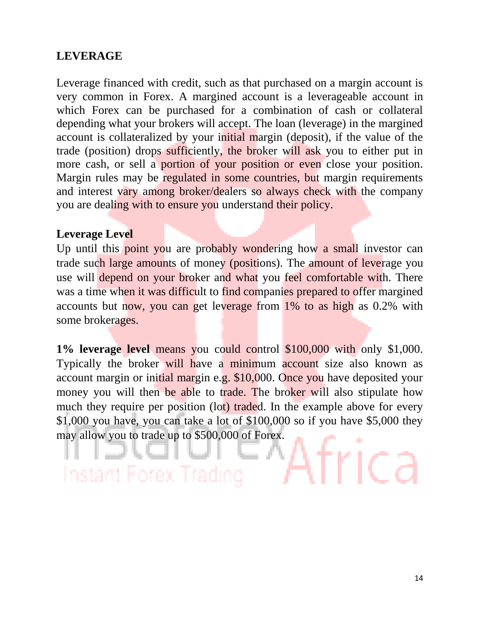### **LEVERAGE**

Leverage financed with credit, such as that purchased on a margin account is very common in Forex. A margined account is a leverageable account in which Forex can be purchased for a combination of cash or collateral depending what your brokers will accept. The loan (leverage) in the margined account is collateralized by your initial margin (deposit), if the value of the trade (position) drops sufficiently, the broker will ask you to either put in more cash, or sell a portion of your position or even close your position. Margin rules may be regulated in some countries, but margin requirements and interest vary among broker/dealers so always check with the company you are dealing with to ensure you understand their policy.

### **Leverage Level**

Up until this point you are probably wondering how a small investor can trade such large amounts of money (positions). The amount of leverage you use will depend on your broker and what you feel comfortable with. There was a time when it was difficult to find companies prepared to offer margined accounts but now, you can get leverage from 1% to as high as 0.2% with some brokerages.

**1% leverage level** means you could control \$100,000 with only \$1,000. Typically the broker will have a minimum account size also known as account margin or initial margin e.g. \$10,000. Once you have deposited your money you will then be able to trade. The broker will also stipulate how much they require per position (lot) traded. In the example above for every \$1,000 you have, you can take a lot of \$100,000 so if you have \$5,000 they may allow you to trade up to \$500,000 of Forex.

Instant Forex Trac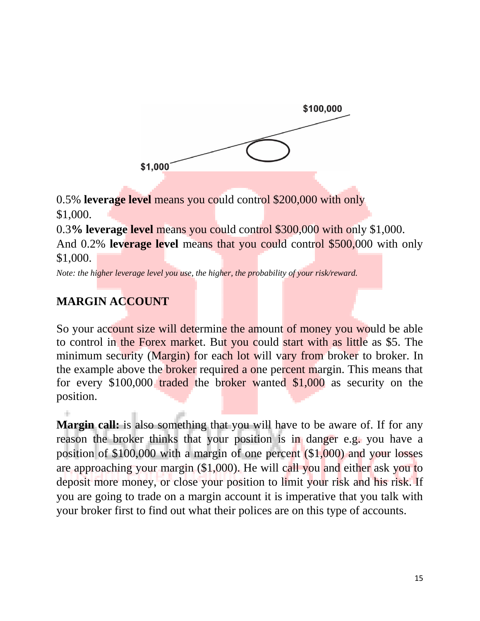

0.5% **leverage level** means you could control \$200,000 with only \$1,000.

0.3**% leverage level** means you could control \$300,000 with only \$1,000.

And 0.2% **leverage level** means that you could control \$500,000 with only \$1,000.

*Note: the higher leverage level you use, the higher, the probability of your risk/reward.*

### **MARGIN ACCOUNT**

So your account size will determine the amount of money you would be able to control in the Forex market. But you could start with as little as \$5. The minimum security (Margin) for each lot will vary from broker to broker. In the example above the broker required a one percent margin. This means that for every \$100,000 traded the broker wanted \$1,000 as security on the position.

**Margin call:** is also something that you will have to be aware of. If for any reason the broker thinks that your position is in danger e.g. you have a position of \$100,000 with a margin of one percent (\$1,000) and your losses are approaching your margin (\$1,000). He will call you and either ask you to deposit more money, or close your position to limit your risk and his risk. If you are going to trade on a margin account it is imperative that you talk with your broker first to find out what their polices are on this type of accounts.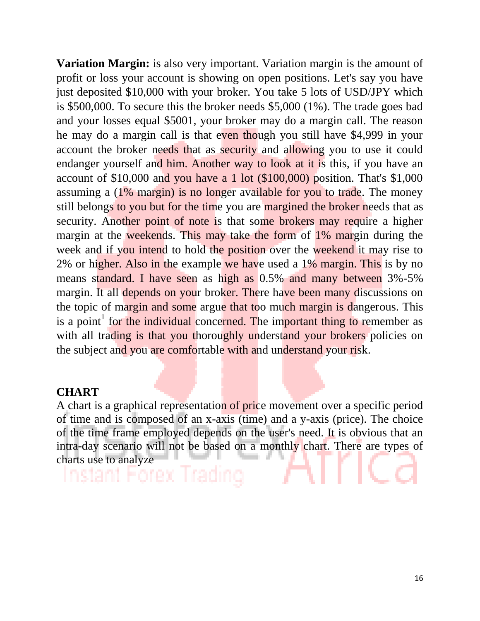**Variation Margin:** is also very important. Variation margin is the amount of profit or loss your account is showing on open positions. Let's say you have just deposited \$10,000 with your broker. You take 5 lots of USD/JPY which is \$500,000. To secure this the broker needs \$5,000 (1%). The trade goes bad and your losses equal \$5001, your broker may do a margin call. The reason he may do a margin call is that even though you still have \$4,999 in your account the broker needs that as security and allowing you to use it could endanger yourself and him. Another way to look at it is this, if you have an account of \$10,000 and you have a 1 lot (\$100,000) position. That's \$1,000 assuming a (1% margin) is no longer available for you to trade. The money still belongs to you but for the time you are margined the broker needs that as security. Another point of note is that some brokers may require a higher margin at the weekends. This may take the form of 1% margin during the week and if you intend to hold the position over the weekend it may rise to 2% or higher. Also in the example we have used a 1% margin. This is by no means standard. I have seen as high as 0.5% and many between 3%-5% margin. It all depends on your broker. There have been many discussions on the topic of margin and some argue that too much margin is dangerous. This is a point<sup>1</sup> for the individual concerned. The important thing to remember as with all trading is that you thoroughly understand your brokers policies on the subject and you are comfortable with and understand your risk.

### **CHART**

A chart is a graphical representation of price movement over a specific period of time and is composed of an x-axis (time) and a y-axis (price). The choice of the time frame employed depends on the user's need. It is obvious that an intra-day scenario will not be based on a monthly chart. There are types of charts use to analyze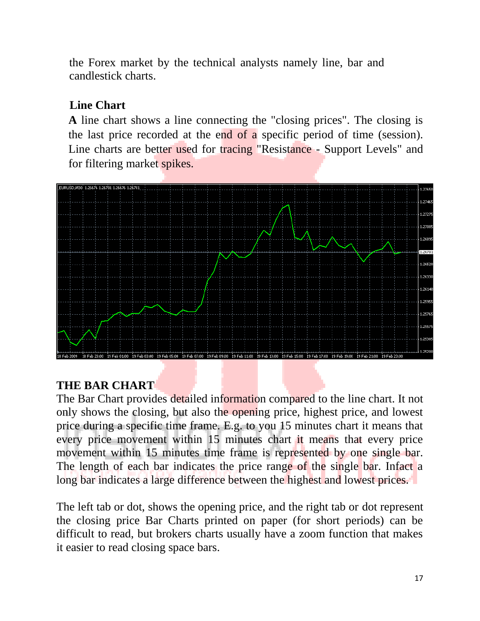the Forex market by the technical analysts namely line, bar and candlestick charts.

### **Line Chart**

**A** line chart shows a line connecting the "closing prices". The closing is the last price recorded at the end of a specific period of time (session). Line charts are better used for tracing "Resistance - Support Levels" and for filtering market spikes.



### **THE BAR CHART**

The Bar Chart provides detailed information compared to the line chart. It not only shows the closing, but also the opening price, highest price, and lowest price during a specific time frame. E.g. to you 15 minutes chart it means that every price movement within 15 minutes chart it means that every price movement within 15 minutes time frame is represented by one single bar. The length of each bar indicates the price range of the single bar. Infact a long bar indicates a large difference between the highest and lowest prices.

The left tab or dot, shows the opening price, and the right tab or dot represent the closing price Bar Charts printed on paper (for short periods) can be difficult to read, but brokers charts usually have a zoom function that makes it easier to read closing space bars.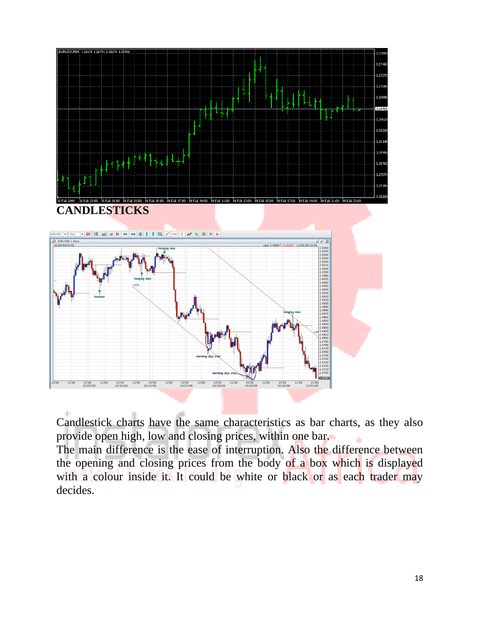

Candlestick charts have the same characteristics as bar charts, as they also provide open high, low and closing prices, within one bar.

The main difference is the ease of interruption. Also the difference between the opening and closing prices from the body of a box which is displayed with a colour inside it. It could be white or black or as each trader may decides.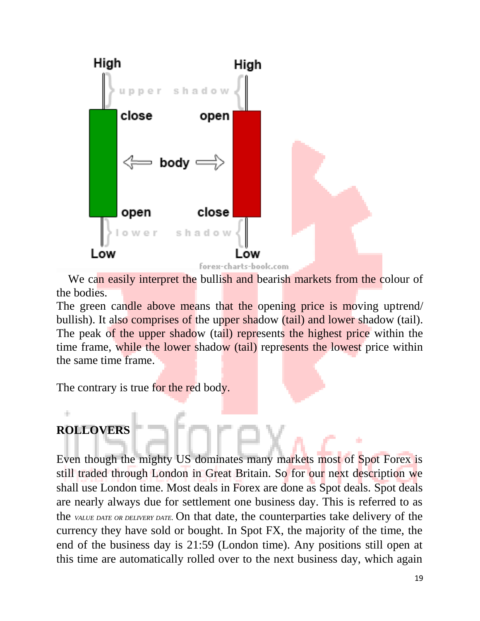

We can easily interpret the bullish and bearish markets from the colour of the bodies.

The green candle above means that the opening price is moving uptrend/ bullish). It also comprises of the upper shadow (tail) and lower shadow (tail). The peak of the upper shadow (tail) represents the highest price within the time frame, while the lower shadow (tail) represents the lowest price within the same time frame.

The contrary is true for the red body.

### **ROLLOVERS**

Even though the mighty US dominates many markets most of Spot Forex is still traded through London in Great Britain. So for our next description we shall use London time. Most deals in Forex are done as Spot deals. Spot deals are nearly always due for settlement one business day. This is referred to as the *VALUE DATE OR DELIVERY DATE.* On that date, the counterparties take delivery of the currency they have sold or bought. In Spot FX, the majority of the time, the end of the business day is 21:59 (London time). Any positions still open at this time are automatically rolled over to the next business day, which again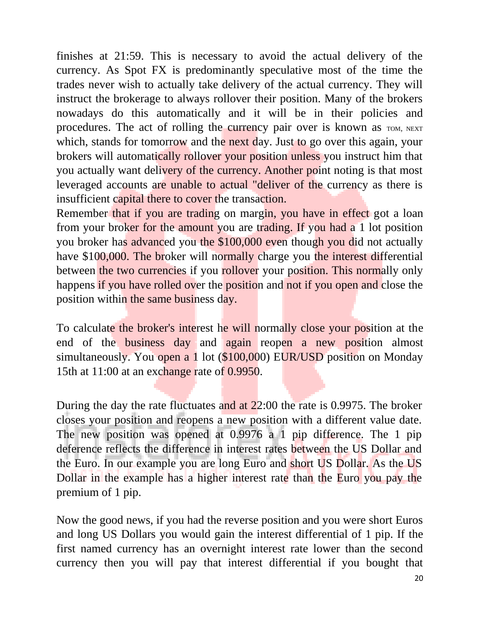finishes at 21:59. This is necessary to avoid the actual delivery of the currency. As Spot FX is predominantly speculative most of the time the trades never wish to actually take delivery of the actual currency. They will instruct the brokerage to always rollover their position. Many of the brokers nowadays do this automatically and it will be in their policies and procedures. The act of rolling the currency pair over is known as TOM, NEXT which, stands for tomorrow and the next day. Just to go over this again, your brokers will automatically rollover your position unless you instruct him that you actually want delivery of the currency. Another point noting is that most leveraged accounts are unable to actual "deliver of the currency as there is insufficient capital there to cover the transaction.

Remember that if you are trading on margin, you have in effect got a loan from your broker for the amount you are trading. If you had a 1 lot position you broker has advanced you the \$100,000 even though you did not actually have \$100,000. The broker will normally charge you the interest differential between the two currencies if you rollover your position. This normally only happens if you have rolled over the position and not if you open and close the position within the same business day.

To calculate the broker's interest he will normally close your position at the end of the business day and again reopen a new position almost simultaneously. You open a 1 lot (\$100,000) EUR/USD position on Monday 15th at 11:00 at an exchange rate of 0.9950.

During the day the rate fluctuates and at 22:00 the rate is 0.9975. The broker closes your position and reopens a new position with a different value date. The new position was opened at 0.9976 a 1 pip difference. The 1 pip deference reflects the difference in interest rates between the US Dollar and the Euro. In our example you are long Euro and short US Dollar. As the US Dollar in the example has a higher interest rate than the Euro you pay the premium of 1 pip.

Now the good news, if you had the reverse position and you were short Euros and long US Dollars you would gain the interest differential of 1 pip. If the first named currency has an overnight interest rate lower than the second currency then you will pay that interest differential if you bought that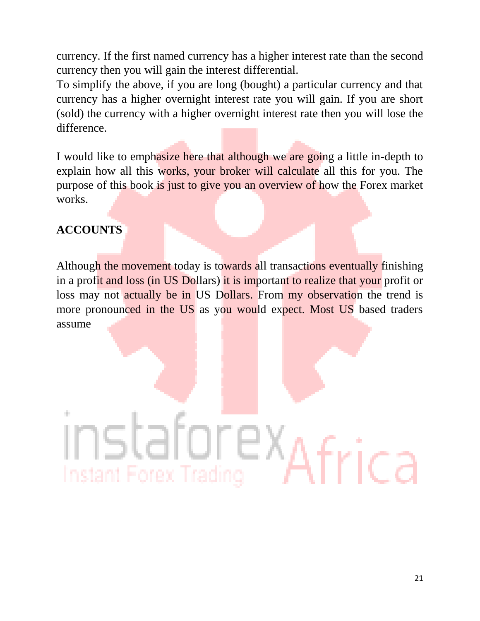currency. If the first named currency has a higher interest rate than the second currency then you will gain the interest differential.

To simplify the above, if you are long (bought) a particular currency and that currency has a higher overnight interest rate you will gain. If you are short (sold) the currency with a higher overnight interest rate then you will lose the difference.

I would like to emphasize here that although we are going a little in-depth to explain how all this works, your broker will calculate all this for you. The purpose of this book is just to give you an overview of how the Forex market works.

### **ACCOUNTS**

Although the movement today is towards all transactions eventually finishing in a profit and loss (in US Dollars) it is important to realize that your profit or loss may not actually be in US Dollars. From my observation the trend is more pronounced in the US as you would expect. Most US based traders assume

# Instant Forex Trading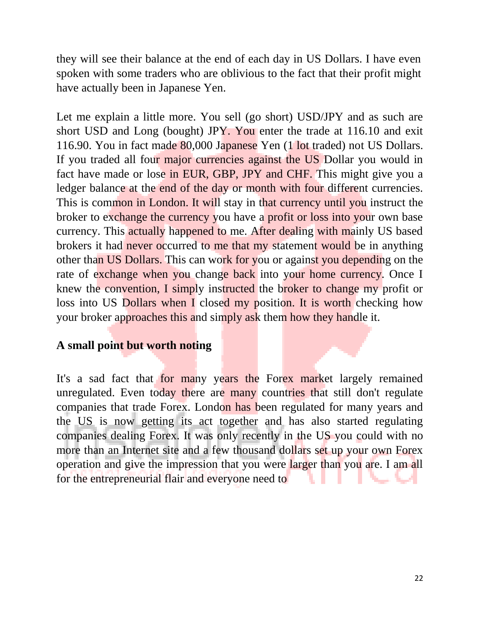they will see their balance at the end of each day in US Dollars. I have even spoken with some traders who are oblivious to the fact that their profit might have actually been in Japanese Yen.

Let me explain a little more. You sell (go short) USD/JPY and as such are short USD and Long (bought) JPY. You enter the trade at 116.10 and exit 116.90. You in fact made 80,000 Japanese Yen (1 lot traded) not US Dollars. If you traded all four major currencies against the US Dollar you would in fact have made or lose in EUR, GBP, JPY and CHF. This might give you a ledger balance at the end of the day or month with four different currencies. This is common in London. It will stay in that currency until you instruct the broker to exchange the currency you have a profit or loss into your own base currency. This actually happened to me. After dealing with mainly US based brokers it had never occurred to me that my statement would be in anything other than US Dollars. This can work for you or against you depending on the rate of exchange when you change back into your home currency. Once I knew the convention, I simply instructed the broker to change my profit or loss into US Dollars when I closed my position. It is worth checking how your broker approaches this and simply ask them how they handle it.

### **A small point but worth noting**

It's a sad fact that for many years the Forex market largely remained unregulated. Even today there are many countries that still don't regulate companies that trade Forex. London has been regulated for many years and the US is now getting its act together and has also started regulating companies dealing Forex. It was only recently in the US you could with no more than an Internet site and a few thousand dollars set up your own Forex operation and give the impression that you were larger than you are. I am all for the entrepreneurial flair and everyone need to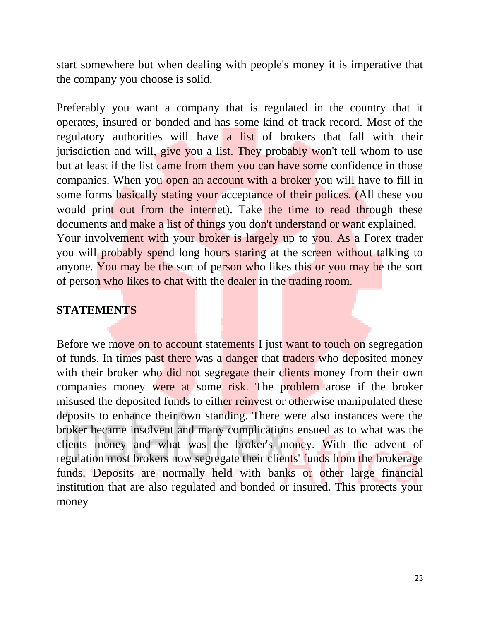start somewhere but when dealing with people's money it is imperative that the company you choose is solid.

Preferably you want a company that is regulated in the country that it operates, insured or bonded and has some kind of track record. Most of the regulatory authorities will have a list of brokers that fall with their jurisdiction and will, give you a list. They probably won't tell whom to use but at least if the list came from them you can have some confidence in those companies. When you open an account with a broker you will have to fill in some forms basically stating your acceptance of their polices. (All these you would print out from the internet). Take the time to read through these documents and make a list of things you don't understand or want explained. Your involvement with your broker is largely up to you. As a Forex trader you will probably spend long hours staring at the screen without talking to anyone. You may be the sort of person who likes this or you may be the sort of person who likes to chat with the dealer in the trading room.

### **STATEMENTS**

Before we move on to account statements I just want to touch on segregation of funds. In times past there was a danger that traders who deposited money with their broker who did not segregate their clients money from their own companies money were at some risk. The problem arose if the broker misused the deposited funds to either reinvest or otherwise manipulated these deposits to enhance their own standing. There were also instances were the broker became insolvent and many complications ensued as to what was the clients money and what was the broker's money. With the advent of regulation most brokers now segregate their clients' funds from the brokerage funds. Deposits are normally held with banks or other large financial institution that are also regulated and bonded or insured. This protects your money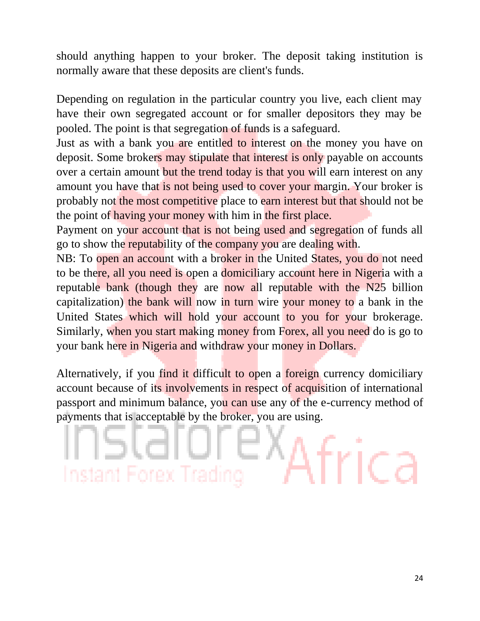should anything happen to your broker. The deposit taking institution is normally aware that these deposits are client's funds.

Depending on regulation in the particular country you live, each client may have their own segregated account or for smaller depositors they may be pooled. The point is that segregation of funds is a safeguard.

Just as with a bank you are entitled to interest on the money you have on deposit. Some brokers may stipulate that interest is only payable on accounts over a certain amount but the trend today is that you will earn interest on any amount you have that is not being used to cover your margin. Your broker is probably not the most competitive place to earn interest but that should not be the point of having your money with him in the first place.

Payment on your account that is not being used and segregation of funds all go to show the reputability of the company you are dealing with.

NB: To open an account with a broker in the United States, you do not need to be there, all you need is open a domiciliary account here in Nigeria with a reputable bank (though they are now all reputable with the N25 billion capitalization) the bank will now in turn wire your money to a bank in the United States which will hold your account to you for your brokerage. Similarly, when you start making money from Forex, all you need do is go to your bank here in Nigeria and withdraw your money in Dollars.

Alternatively, if you find it difficult to open a foreign currency domiciliary account because of its involvements in respect of acquisition of international passport and minimum balance, you can use any of the e-currency method of payments that is acceptable by the broker, you are using.

# Instant Forex Tra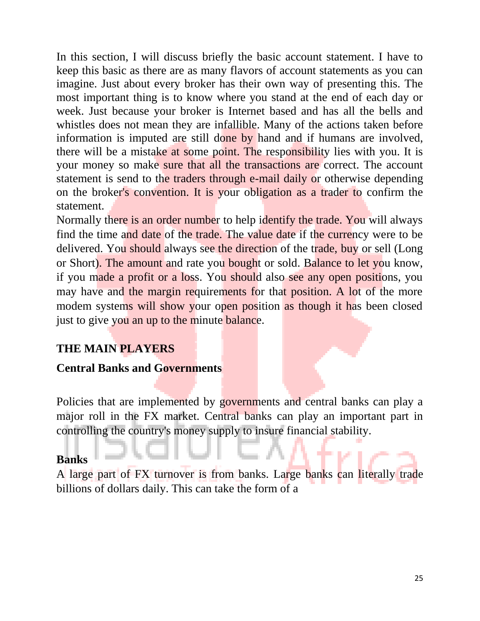In this section, I will discuss briefly the basic account statement. I have to keep this basic as there are as many flavors of account statements as you can imagine. Just about every broker has their own way of presenting this. The most important thing is to know where you stand at the end of each day or week. Just because your broker is Internet based and has all the bells and whistles does not mean they are infallible. Many of the actions taken before information is imputed are still done by hand and if humans are involved, there will be a mistake at some point. The responsibility lies with you. It is your money so make sure that all the transactions are correct. The account statement is send to the traders through e-mail daily or otherwise depending on the broker's convention. It is your obligation as a trader to confirm the statement.

Normally there is an order number to help identify the trade. You will always find the time and date of the trade. The value date if the currency were to be delivered. You should always see the direction of the trade, buy or sell (Long or Short). The amount and rate you bought or sold. Balance to let you know, if you made a profit or a loss. You should also see any open positions, you may have and the margin requirements for that position. A lot of the more modem systems will show your open position as though it has been closed just to give you an up to the minute balance.

### **THE MAIN PLAYERS**

### **Central Banks and Governments**

Policies that are implemented by governments and central banks can play a major roll in the FX market. Central banks can play an important part in controlling the country's money supply to insure financial stability.

### **Banks**

A large part of FX turnover is from banks. Large banks can literally trade billions of dollars daily. This can take the form of a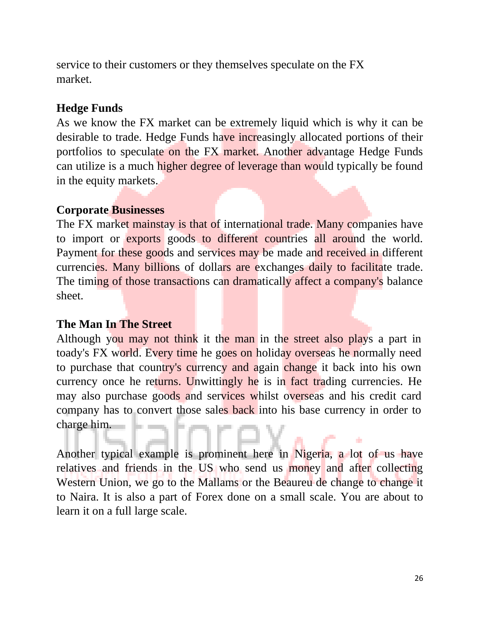service to their customers or they themselves speculate on the FX market.

### **Hedge Funds**

As we know the FX market can be extremely liquid which is why it can be desirable to trade. Hedge Funds have increasingly allocated portions of their portfolios to speculate on the FX market. Another advantage Hedge Funds can utilize is a much higher degree of leverage than would typically be found in the equity markets.

### **Corporate Businesses**

The FX market mainstay is that of international trade. Many companies have to import or exports goods to different countries all around the world. Payment for these goods and services may be made and received in different currencies. Many billions of dollars are exchanges daily to facilitate trade. The timing of those transactions can dramatically affect a company's balance sheet.

### **The Man In The Street**

Although you may not think it the man in the street also plays a part in toady's FX world. Every time he goes on holiday overseas he normally need to purchase that country's currency and again change it back into his own currency once he returns. Unwittingly he is in fact trading currencies. He may also purchase goods and services whilst overseas and his credit card company has to convert those sales back into his base currency in order to charge him.

Another typical example is prominent here in Nigeria, a lot of us have relatives and friends in the US who send us money and after collecting Western Union, we go to the Mallams or the Beaureu de change to change it to Naira. It is also a part of Forex done on a small scale. You are about to learn it on a full large scale.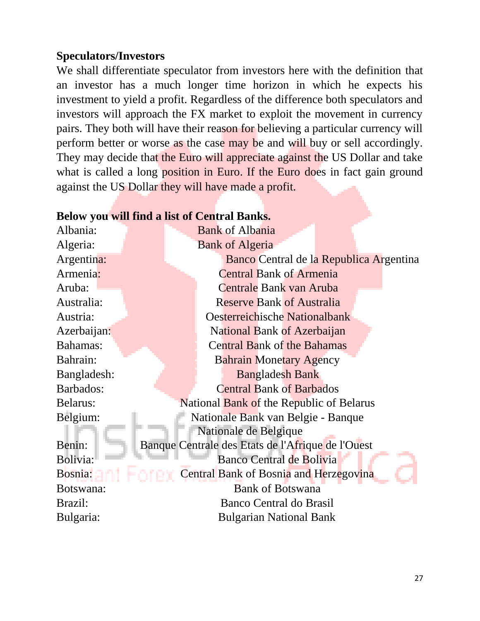### **Speculators/Investors**

We shall differentiate speculator from investors here with the definition that an investor has a much longer time horizon in which he expects his investment to yield a profit. Regardless of the difference both speculators and investors will approach the FX market to exploit the movement in currency pairs. They both will have their reason for believing a particular currency will perform better or worse as the case may be and will buy or sell accordingly. They may decide that the Euro will appreciate against the US Dollar and take what is called a long **position in Euro.** If the Euro does in fact gain ground against the US Dollar they will have made a profit.

#### **Below you will find a list of Central Banks.**

| Albania:    | <b>Bank of Albania</b>                            |  |  |
|-------------|---------------------------------------------------|--|--|
| Algeria:    | <b>Bank of Algeria</b>                            |  |  |
| Argentina:  | Banco Central de la Republica Argentina           |  |  |
| Armenia:    | <b>Central Bank of Armenia</b>                    |  |  |
| Aruba:      | Centrale Bank van Aruba                           |  |  |
| Australia:  | <b>Reserve Bank of Australia</b>                  |  |  |
| Austria:    | <b>Oesterreichische Nationalbank</b>              |  |  |
| Azerbaijan: | National Bank of Azerbaijan                       |  |  |
| Bahamas:    | <b>Central Bank of the Bahamas</b>                |  |  |
| Bahrain:    | <b>Bahrain Monetary Agency</b>                    |  |  |
| Bangladesh: | <b>Bangladesh Bank</b>                            |  |  |
| Barbados:   | <b>Central Bank of Barbados</b>                   |  |  |
| Belarus:    | National Bank of the Republic of Belarus          |  |  |
| Belgium:    | Nationale Bank van Belgie - Banque                |  |  |
|             | Nationale de Belgique                             |  |  |
| Benin:      | Banque Centrale des Etats de l'Afrique de l'Ouest |  |  |
| Bolivia:    | Banco Central de Bolivia                          |  |  |
| Bosnia:     | Central Bank of Bosnia and Herzegovina            |  |  |
| Botswana:   | <b>Bank of Botswana</b>                           |  |  |
| Brazil:     | Banco Central do Brasil                           |  |  |
| Bulgaria:   | <b>Bulgarian National Bank</b>                    |  |  |
|             |                                                   |  |  |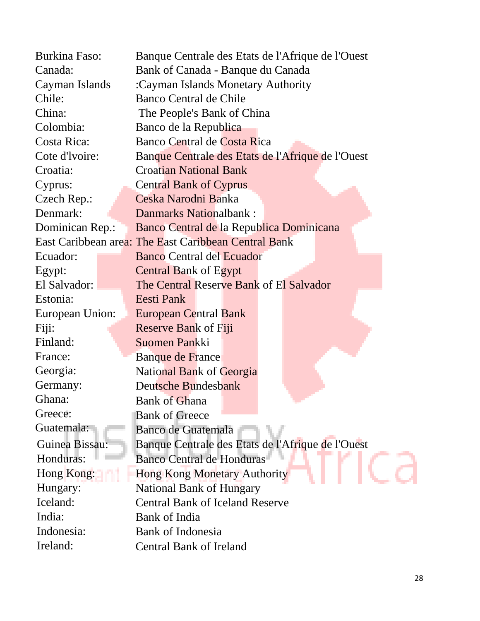| <b>Burkina Faso:</b> | Banque Centrale des Etats de l'Afrique de l'Ouest    |  |  |
|----------------------|------------------------------------------------------|--|--|
| Canada:              | Bank of Canada - Banque du Canada                    |  |  |
| Cayman Islands       | :Cayman Islands Monetary Authority                   |  |  |
| Chile:               | Banco Central de Chile                               |  |  |
| China:               | The People's Bank of China                           |  |  |
| Colombia:            | Banco de la Republica                                |  |  |
| Costa Rica:          | Banco Central de Costa Rica                          |  |  |
| Cote d'Ivoire:       | Banque Centrale des Etats de l'Afrique de l'Ouest    |  |  |
| Croatia:             | <b>Croatian National Bank</b>                        |  |  |
| Cyprus:              | <b>Central Bank of Cyprus</b>                        |  |  |
| Czech Rep.:          | Ceska Narodni Banka                                  |  |  |
| Denmark:             | Danmarks Nationalbank:                               |  |  |
| Dominican Rep.:      | Banco Central de la Republica Dominicana             |  |  |
|                      | East Caribbean area: The East Caribbean Central Bank |  |  |
| Ecuador:             | <b>Banco Central del Ecuador</b>                     |  |  |
| Egypt:               | <b>Central Bank of Egypt</b>                         |  |  |
| El Salvador:         | The Central Reserve Bank of El Salvador              |  |  |
| Estonia:             | Eesti Pank                                           |  |  |
| European Union:      | <b>European Central Bank</b>                         |  |  |
| Fiji:                | <b>Reserve Bank of Fiji</b>                          |  |  |
| Finland:             | Suomen Pankki                                        |  |  |
| France:              | Banque de France                                     |  |  |
| Georgia:             | <b>National Bank of Georgia</b>                      |  |  |
| Germany:             | Deutsche Bundesbank                                  |  |  |
| Ghana:               | <b>Bank of Ghana</b>                                 |  |  |
| Greece:              | <b>Bank of Greece</b>                                |  |  |
| Guatemala:           | <b>Banco de Guatemala</b>                            |  |  |
| Guinea Bissau:       | Banque Centrale des Etats de l'Afrique de l'Ouest    |  |  |
| Honduras:            | <b>Banco Central de Honduras</b>                     |  |  |
| Hong Kong:           | <b>Hong Kong Monetary Authority</b>                  |  |  |
| Hungary:             | <b>National Bank of Hungary</b>                      |  |  |
| Iceland:             | <b>Central Bank of Iceland Reserve</b>               |  |  |
| India:               | Bank of India                                        |  |  |
| Indonesia:           | <b>Bank of Indonesia</b>                             |  |  |
| Ireland:             | <b>Central Bank of Ireland</b>                       |  |  |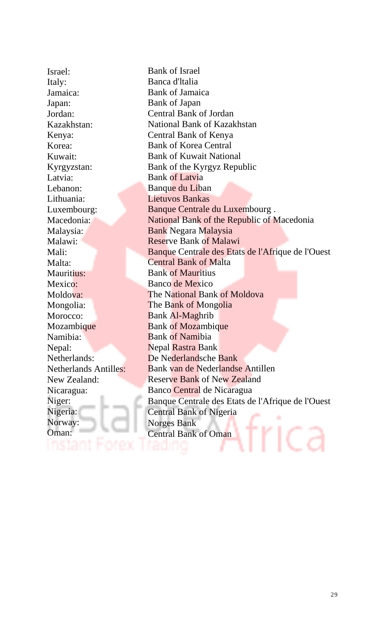Israel: Italy: Jamaica: Japan: Jordan: Kazakhstan: Kenya: Korea: Kuwait: Kyrgyzstan: Latvia: Lebanon: Lithuania: Luxembourg: Macedonia: Malaysia: Malawi: Mali: Malta: Mauritius: Mexico: Moldova: Mongolia: Morocco: Mozambique Namibia: Nepal: Netherlands: Netherlands Antilles: New Zealand: Nicaragua: Niger: Nigeria: Norway: Oman:

nstant

Bank of Israel Banca d'ltalia Bank of Jamaica Bank of Japan Central Bank of Jordan National Bank of Kazakhstan Central Bank of Kenya Bank of Korea Central Bank of Kuwait National Bank of the Kyrgyz Republic Bank of Latvia Banque du Liban Lietuvos Bankas Banque Centrale du Luxembourg . National Bank of the Republic of Macedonia Bank Negara Malaysia Reserve Bank of Malawi Banque Centrale des Etats de l'Afrique de l'Ouest Central Bank of Malta Bank of Mauritius Banco de Mexico The National Bank of Moldova The Bank of Mongolia Bank Al-Maghrib Bank of Mozambique Bank of Namibia Nepal Rastra Bank De Nederlandsche Bank Bank van de Nederlandse Antillen Reserve Bank of New Zealand Banco Central de Nicaragua Banque Centrale des Etats de l'Afrique de l'Ouest Central Bank of Nigeria Norges Bank rica Central Bank of Oman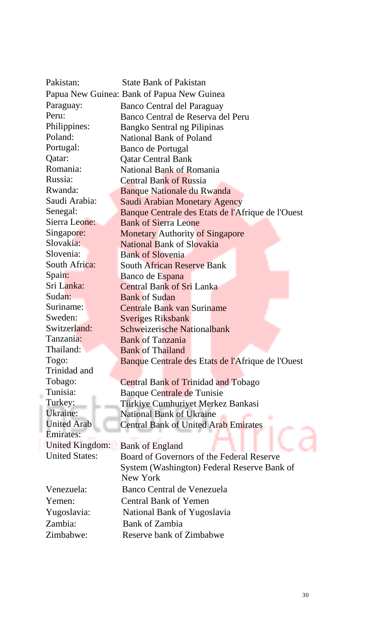| Pakistan:                                  | <b>State Bank of Pakistan</b>                     |  |
|--------------------------------------------|---------------------------------------------------|--|
| Papua New Guinea: Bank of Papua New Guinea |                                                   |  |
| Paraguay:                                  | Banco Central del Paraguay                        |  |
| Peru:                                      | Banco Central de Reserva del Peru                 |  |
| Philippines:                               | Bangko Sentral ng Pilipinas                       |  |
| Poland:                                    | National Bank of Poland                           |  |
| Portugal:                                  | Banco de Portugal                                 |  |
| Qatar:                                     | <b>Qatar Central Bank</b>                         |  |
| Romania:                                   | National Bank of Romania                          |  |
| Russia:                                    | <b>Central Bank of Russia</b>                     |  |
| Rwanda:                                    | Banque Nationale du Rwanda                        |  |
| Saudi Arabia:                              | Saudi Arabian Monetary Agency                     |  |
| Senegal:                                   | Banque Centrale des Etats de l'Afrique de l'Ouest |  |
| Sierra Leone:                              | <b>Bank of Sierra Leone</b>                       |  |
| Singapore:                                 | <b>Monetary Authority of Singapore</b>            |  |
| Slovakia:                                  | National Bank of Slovakia                         |  |
| Slovenia:                                  | <b>Bank of Slovenia</b>                           |  |
| South Africa:                              | <b>South African Reserve Bank</b>                 |  |
| Spain:                                     | Banco de Espana                                   |  |
| Sri Lanka:                                 | <b>Central Bank of Sri Lanka</b>                  |  |
| Sudan:                                     | <b>Bank of Sudan</b>                              |  |
| Suriname:                                  | Centrale Bank van Suriname                        |  |
| Sweden:                                    | <b>Sveriges Riksbank</b>                          |  |
| Switzerland:                               | Schweizerische Nationalbank                       |  |
| Tanzania:                                  | <b>Bank of Tanzania</b>                           |  |
| Thailand:                                  | <b>Bank of Thailand</b>                           |  |
| Togo:                                      | Banque Centrale des Etats de l'Afrique de l'Ouest |  |
| Trinidad and                               |                                                   |  |
| Tobago:                                    | <b>Central Bank of Trinidad and Tobago</b>        |  |
| Tunisia:                                   | Banque Centrale de Tunisie                        |  |
| Turkey:                                    | Tiirkiye Cumhuriyet Merkez Bankasi                |  |
| Ukraine:                                   | <b>National Bank of Ukraine</b>                   |  |
| <b>United Arab</b>                         | <b>Central Bank of United Arab Emirates</b>       |  |
| <b>Emirates:</b>                           |                                                   |  |
| <b>United Kingdom:</b>                     | <b>Bank of England</b>                            |  |
| <b>United States:</b>                      | Board of Governors of the Federal Reserve         |  |
|                                            | System (Washington) Federal Reserve Bank of       |  |
|                                            | New York                                          |  |
| Venezuela:                                 | Banco Central de Venezuela                        |  |
| Yemen:                                     | <b>Central Bank of Yemen</b>                      |  |
| Yugoslavia:                                | National Bank of Yugoslavia                       |  |
| Zambia:                                    | Bank of Zambia                                    |  |
| Zimbabwe:                                  | Reserve bank of Zimbabwe                          |  |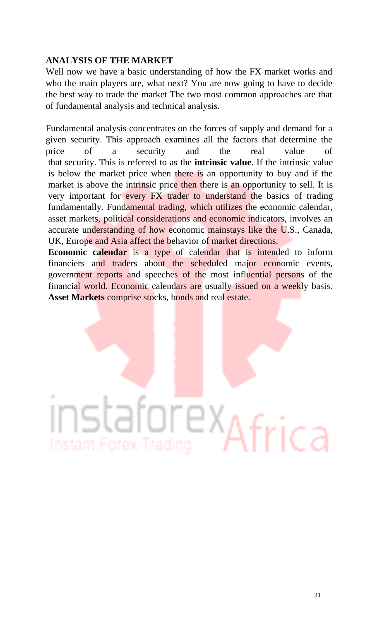### **ANALYSIS OF THE MARKET**

Well now we have a basic understanding of how the FX market works and who the main players are, what next? You are now going to have to decide the best way to trade the market The two most common approaches are that of fundamental analysis and technical analysis.

Fundamental analysis concentrates on the forces of supply and demand for a given security. This approach examines all the factors that determine the price of a security and the real value of that security. This is referred to as the **intrinsic value**. If the intrinsic value is below the market price when there is an opportunity to buy and if the market is above the intrinsic price then there is an opportunity to sell. It is very important for every FX trader to understand the basics of trading fundamentally. Fundamental trading, which utilizes the economic calendar, asset markets, political considerations and economic indicators, involves an accurate understanding of how economic mainstays like the U.S., Canada, UK, Europe and Asia affect the behavior of market directions.

**Economic calendar** is a type of calendar that is intended to inform financiers and traders about the scheduled major economic events, government reports and speeches of the most influential persons of the financial world. Economic calendars are usually issued on a weekly basis. **Asset Markets** comprise stocks, bonds and real estate.

# TE X. ica Instant Forex Trading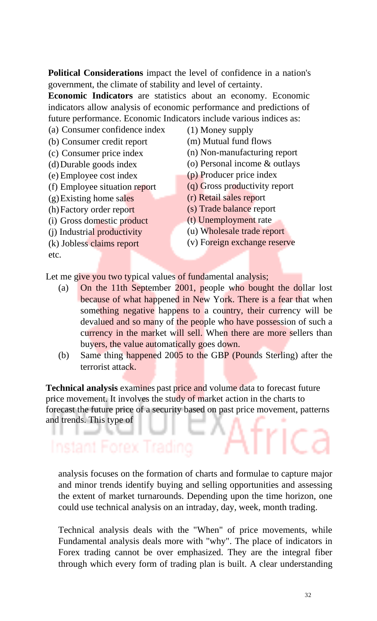**Political Considerations** impact the level of confidence in a nation's government, the climate of stability and level of certainty.

**Economic Indicators** are statistics about an economy. Economic indicators allow analysis of economic performance and predictions of future performance. Economic Indicators include various indices as:

(a) Consumer confidence index

(b) Consumer credit report

- (c) Consumer price index
- (d)Durable goods index
- (e) Employee cost index
- (f) Employee situation report

(g)Existing home sales

- (h)Factory order report
- (i) Gross domestic product
- (j) Industrial productivity
- (k) Jobless claims report

etc.

- (1) Money supply
- (m) Mutual fund flows
- (n) Non-manufacturing report
- (o) Personal income & outlays
- (p) Producer price index
- (q) Gross productivity report
- (r) Retail sales report
- (s) Trade balance report
- (t) Unemployment rate
- (u) Wholesale trade report
- (v) Foreign exchange reserve

Let me give you two typical values of fundamental analysis;

- (a) On the 11th September 2001, people who bought the dollar lost because of what happened in New York. There is a fear that when something negative happens to a country, their currency will be devalued and so many of the people who have possession of such a currency in the market will sell. When there are more sellers than buyers, the value automatically goes down.
- (b) Same thing happened 2005 to the GBP (Pounds Sterling) after the terrorist attack.

**Technical analysis** examines past price and volume data to forecast future price movement. It involves the study of market action in the charts to forecast the future price of a security based on past price movement, patterns and trends. This type of

### Instant Forex Trading

analysis focuses on the formation of charts and formulae to capture major and minor trends identify buying and selling opportunities and assessing the extent of market turnarounds. Depending upon the time horizon, one could use technical analysis on an intraday, day, week, month trading.

Technical analysis deals with the "When" of price movements, while Fundamental analysis deals more with "why". The place of indicators in Forex trading cannot be over emphasized. They are the integral fiber through which every form of trading plan is built. A clear understanding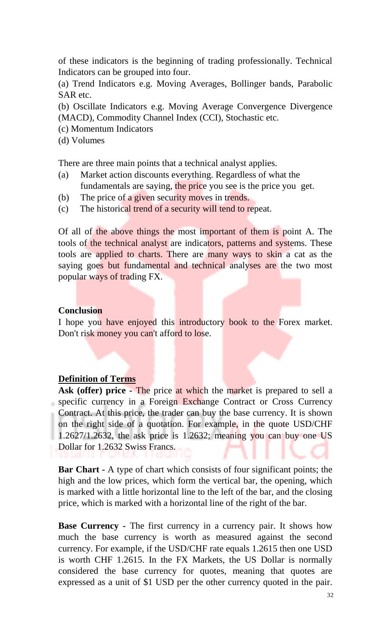of these indicators is the beginning of trading professionally. Technical Indicators can be grouped into four.

(a) Trend Indicators e.g. Moving Averages, Bollinger bands, Parabolic SAR etc.

(b) Oscillate Indicators e.g. Moving Average Convergence Divergence (MACD), Commodity Channel Index (CCI), Stochastic etc.

(c) Momentum Indicators

(d) Volumes

There are three main points that a technical analyst applies.

- (a) Market action discounts everything. Regardless of what the fundamentals are saying, the price you see is the price you get.
- (b) The price of a given security moves in trends.
- (c) The historical trend of a security will tend to repeat.

Of all of the above things the most important of them is point A. The tools of the technical analyst are indicators, patterns and systems. These tools are applied to charts. There are many ways to skin a cat as the saying goes but fundamental and technical analyses are the two most popular ways of trading FX.

### **Conclusion**

I hope you have enjoyed this introductory book to the Forex market. Don't risk money you can't afford to lose.

### **Definition of Terms**

**Ask (offer) price -** The price at which the market is prepared to sell a specific currency in a Foreign Exchange Contract or Cross Currency Contract. At this price, the trader can buy the base currency. It is shown on the right side of a quotation. For example, in the quote USD/CHF 1.2627/1.2632, the ask price is 1.2632; meaning you can buy one US Dollar for 1.2632 Swiss Francs.

**Bar Chart -** A type of chart which consists of four significant points; the high and the low prices, which form the vertical bar, the opening, which is marked with a little horizontal line to the left of the bar, and the closing price, which is marked with a horizontal line of the right of the bar.

**Base Currency -** The first currency in a currency pair. It shows how much the base currency is worth as measured against the second currency. For example, if the USD/CHF rate equals 1.2615 then one USD is worth CHF 1.2615. In the FX Markets, the US Dollar is normally considered the base currency for quotes, meaning that quotes are expressed as a unit of \$1 USD per the other currency quoted in the pair.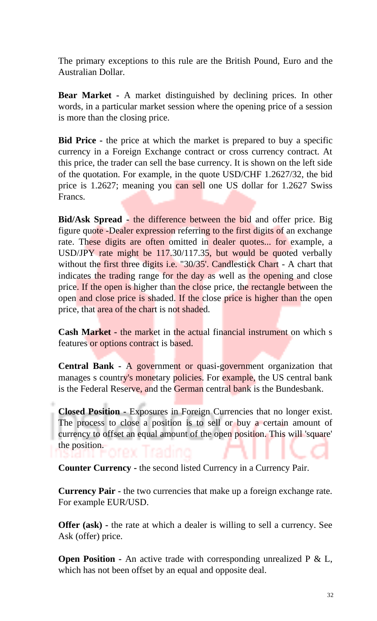The primary exceptions to this rule are the British Pound, Euro and the Australian Dollar.

**Bear Market -** A market distinguished by declining prices. In other words, in a particular market session where the opening price of a session is more than the closing price.

**Bid Price -** the price at which the market is prepared to buy a specific currency in a Foreign Exchange contract or cross currency contract. At this price, the trader can sell the base currency. It is shown on the left side of the quotation. For example, in the quote USD/CHF 1.2627/32, the bid price is 1.2627; meaning you can sell one US dollar for 1.2627 Swiss Francs.

**Bid/Ask Spread -** the difference between the bid and offer price. Big figure quote -Dealer expression referring to the first digits of an exchange rate. These digits are often omitted in dealer quotes... for example, a USD/JPY rate might be 117.30/117.35, but would be quoted verbally without the first three digits i.e. "30/35'. Candlestick Chart - A chart that indicates the trading range for the day as well as the opening and close price. If the open is higher than the close price, the rectangle between the open and close price is shaded. If the close price is higher than the open price, that area of the chart is not shaded.

**Cash Market -** the market in the actual financial instrument on which s features or options contract is based.

**Central Bank -** A government or quasi-government organization that manages s country's monetary policies. For example, the US central bank is the Federal Reserve, and the German central bank is the Bundesbank.

**Closed Position -** Exposures in Foreign Currencies that no longer exist. The process to close a position is to sell or buy a certain amount of currency to offset an equal amount of the open position. This will 'square' the position.

**Counter Currency -** the second listed Currency in a Currency Pair.

**Currency Pair -** the two currencies that make up a foreign exchange rate. For example EUR/USD.

**Offer (ask)** - the rate at which a dealer is willing to sell a currency. See Ask (offer) price.

**Open Position -** An active trade with corresponding unrealized P & L, which has not been offset by an equal and opposite deal.